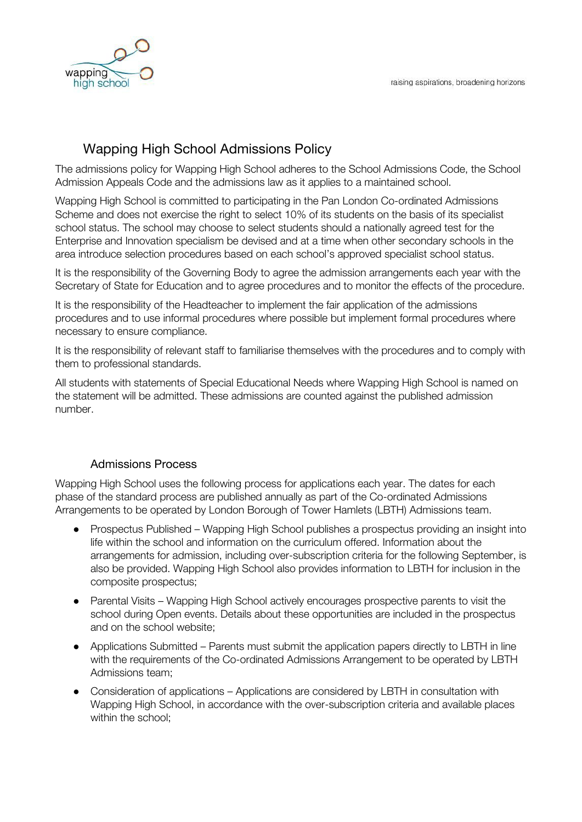

# Wapping High School Admissions Policy

The admissions policy for Wapping High School adheres to the School Admissions Code, the School Admission Appeals Code and the admissions law as it applies to a maintained school.

Wapping High School is committed to participating in the Pan London Co-ordinated Admissions Scheme and does not exercise the right to select 10% of its students on the basis of its specialist school status. The school may choose to select students should a nationally agreed test for the Enterprise and Innovation specialism be devised and at a time when other secondary schools in the area introduce selection procedures based on each school's approved specialist school status.

It is the responsibility of the Governing Body to agree the admission arrangements each year with the Secretary of State for Education and to agree procedures and to monitor the effects of the procedure.

It is the responsibility of the Headteacher to implement the fair application of the admissions procedures and to use informal procedures where possible but implement formal procedures where necessary to ensure compliance.

It is the responsibility of relevant staff to familiarise themselves with the procedures and to comply with them to professional standards.

All students with statements of Special Educational Needs where Wapping High School is named on the statement will be admitted. These admissions are counted against the published admission number.

## Admissions Process

Wapping High School uses the following process for applications each year. The dates for each phase of the standard process are published annually as part of the Co-ordinated Admissions Arrangements to be operated by London Borough of Tower Hamlets (LBTH) Admissions team.

- Prospectus Published Wapping High School publishes a prospectus providing an insight into life within the school and information on the curriculum offered. Information about the arrangements for admission, including over-subscription criteria for the following September, is also be provided. Wapping High School also provides information to LBTH for inclusion in the composite prospectus;
- Parental Visits Wapping High School actively encourages prospective parents to visit the school during Open events. Details about these opportunities are included in the prospectus and on the school website;
- Applications Submitted Parents must submit the application papers directly to LBTH in line with the requirements of the Co-ordinated Admissions Arrangement to be operated by LBTH Admissions team;
- Consideration of applications Applications are considered by LBTH in consultation with Wapping High School, in accordance with the over-subscription criteria and available places within the school;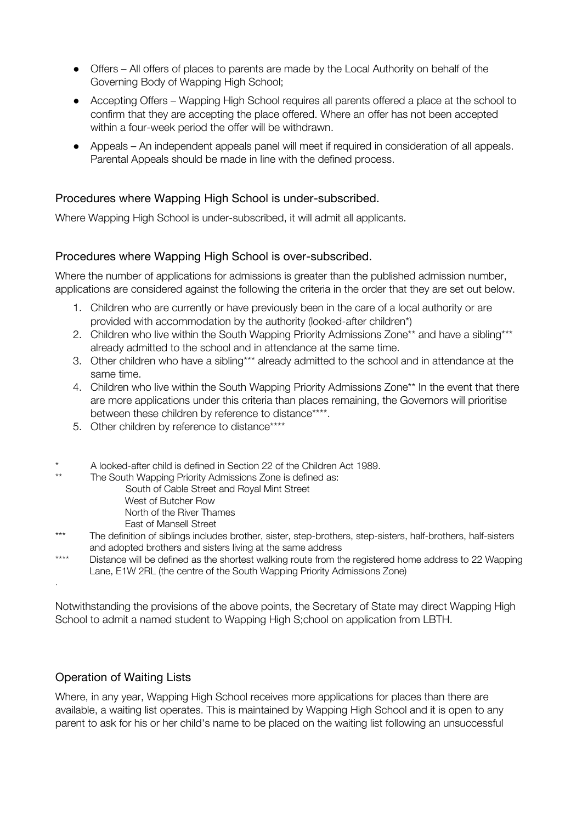- Offers All offers of places to parents are made by the Local Authority on behalf of the Governing Body of Wapping High School;
- Accepting Offers Wapping High School requires all parents offered a place at the school to confirm that they are accepting the place offered. Where an offer has not been accepted within a four-week period the offer will be withdrawn.
- Appeals An independent appeals panel will meet if required in consideration of all appeals. Parental Appeals should be made in line with the defined process.

### Procedures where Wapping High School is under-subscribed.

Where Wapping High School is under-subscribed, it will admit all applicants.

#### Procedures where Wapping High School is over-subscribed.

Where the number of applications for admissions is greater than the published admission number, applications are considered against the following the criteria in the order that they are set out below.

- 1. Children who are currently or have previously been in the care of a local authority or are provided with accommodation by the authority (looked-after children\*)
- 2. Children who live within the South Wapping Priority Admissions Zone\*\* and have a sibling\*\*\* already admitted to the school and in attendance at the same time.
- 3. Other children who have a sibling\*\*\* already admitted to the school and in attendance at the same time.
- 4. Children who live within the South Wapping Priority Admissions Zone\*\* In the event that there are more applications under this criteria than places remaining, the Governors will prioritise between these children by reference to distance\*\*\*\*.
- 5. Other children by reference to distance\*\*\*\*
- \* A looked-after child is defined in Section 22 of the Children Act 1989.
	- The South Wapping Priority Admissions Zone is defined as:
		- South of Cable Street and Royal Mint Street
		- West of Butcher Row
		- North of the River Thames
		- East of Mansell Street
- \*\*\* The definition of siblings includes brother, sister, step-brothers, step-sisters, half-brothers, half-sisters and adopted brothers and sisters living at the same address
- \*\*\*\* Distance will be defined as the shortest walking route from the registered home address to 22 Wapping Lane, E1W 2RL (the centre of the South Wapping Priority Admissions Zone) .

Notwithstanding the provisions of the above points, the Secretary of State may direct Wapping High School to admit a named student to Wapping High S;chool on application from LBTH.

#### Operation of Waiting Lists

Where, in any year, Wapping High School receives more applications for places than there are available, a waiting list operates. This is maintained by Wapping High School and it is open to any parent to ask for his or her child's name to be placed on the waiting list following an unsuccessful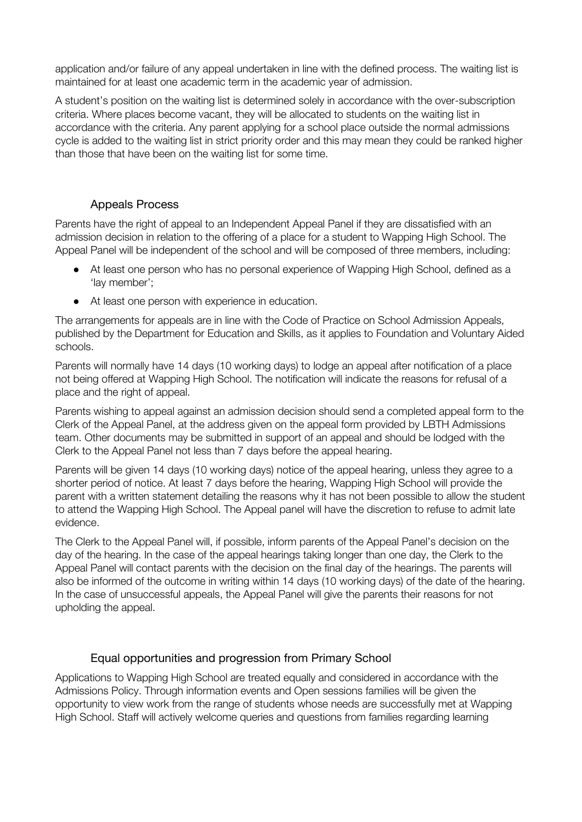application and/or failure of any appeal undertaken in line with the defined process. The waiting list is maintained for at least one academic term in the academic year of admission.

A student's position on the waiting list is determined solely in accordance with the over-subscription criteria. Where places become vacant, they will be allocated to students on the waiting list in accordance with the criteria. Any parent applying for a school place outside the normal admissions cycle is added to the waiting list in strict priority order and this may mean they could be ranked higher than those that have been on the waiting list for some time.

#### Appeals Process

Parents have the right of appeal to an Independent Appeal Panel if they are dissatisfied with an admission decision in relation to the offering of a place for a student to Wapping High School. The Appeal Panel will be independent of the school and will be composed of three members, including:

- At least one person who has no personal experience of Wapping High School, defined as a 'lay member';
- At least one person with experience in education.

The arrangements for appeals are in line with the Code of Practice on School Admission Appeals, published by the Department for Education and Skills, as it applies to Foundation and Voluntary Aided schools.

Parents will normally have 14 days (10 working days) to lodge an appeal after notification of a place not being offered at Wapping High School. The notification will indicate the reasons for refusal of a place and the right of appeal.

Parents wishing to appeal against an admission decision should send a completed appeal form to the Clerk of the Appeal Panel, at the address given on the appeal form provided by LBTH Admissions team. Other documents may be submitted in support of an appeal and should be lodged with the Clerk to the Appeal Panel not less than 7 days before the appeal hearing.

Parents will be given 14 days (10 working days) notice of the appeal hearing, unless they agree to a shorter period of notice. At least 7 days before the hearing, Wapping High School will provide the parent with a written statement detailing the reasons why it has not been possible to allow the student to attend the Wapping High School. The Appeal panel will have the discretion to refuse to admit late evidence.

The Clerk to the Appeal Panel will, if possible, inform parents of the Appeal Panel's decision on the day of the hearing. In the case of the appeal hearings taking longer than one day, the Clerk to the Appeal Panel will contact parents with the decision on the final day of the hearings. The parents will also be informed of the outcome in writing within 14 days (10 working days) of the date of the hearing. In the case of unsuccessful appeals, the Appeal Panel will give the parents their reasons for not upholding the appeal.

#### Equal opportunities and progression from Primary School

Applications to Wapping High School are treated equally and considered in accordance with the Admissions Policy. Through information events and Open sessions families will be given the opportunity to view work from the range of students whose needs are successfully met at Wapping High School. Staff will actively welcome queries and questions from families regarding learning